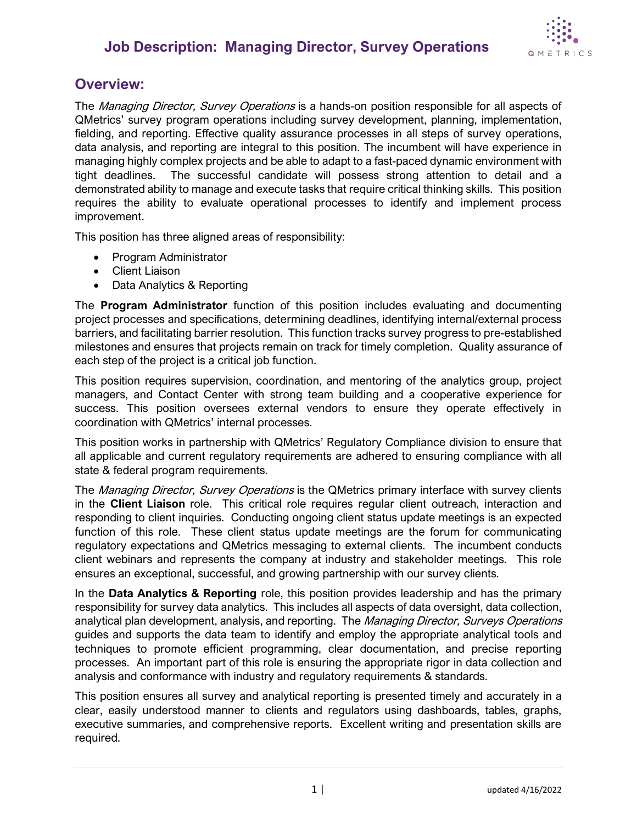## **Job Description: Managing Director, Survey Operations**



### **Overview:**

The *Managing Director, Survey Operations* is a hands-on position responsible for all aspects of QMetrics' survey program operations including survey development, planning, implementation, fielding, and reporting. Effective quality assurance processes in all steps of survey operations, data analysis, and reporting are integral to this position. The incumbent will have experience in managing highly complex projects and be able to adapt to a fast-paced dynamic environment with tight deadlines. The successful candidate will possess strong attention to detail and a demonstrated ability to manage and execute tasks that require critical thinking skills. This position requires the ability to evaluate operational processes to identify and implement process improvement.

This position has three aligned areas of responsibility:

- Program Administrator
- Client Liaison
- Data Analytics & Reporting

The **Program Administrator** function of this position includes evaluating and documenting project processes and specifications, determining deadlines, identifying internal/external process barriers, and facilitating barrier resolution. This function tracks survey progress to pre-established milestones and ensures that projects remain on track for timely completion. Quality assurance of each step of the project is a critical job function.

This position requires supervision, coordination, and mentoring of the analytics group, project managers, and Contact Center with strong team building and a cooperative experience for success. This position oversees external vendors to ensure they operate effectively in coordination with QMetrics' internal processes.

This position works in partnership with QMetrics' Regulatory Compliance division to ensure that all applicable and current regulatory requirements are adhered to ensuring compliance with all state & federal program requirements.

The *Managing Director, Survey Operations* is the QMetrics primary interface with survey clients in the **Client Liaison** role. This critical role requires regular client outreach, interaction and responding to client inquiries. Conducting ongoing client status update meetings is an expected function of this role. These client status update meetings are the forum for communicating regulatory expectations and QMetrics messaging to external clients. The incumbent conducts client webinars and represents the company at industry and stakeholder meetings. This role ensures an exceptional, successful, and growing partnership with our survey clients.

In the **Data Analytics & Reporting** role, this position provides leadership and has the primary responsibility for survey data analytics. This includes all aspects of data oversight, data collection, analytical plan development, analysis, and reporting. The Managing Director, Surveys Operations guides and supports the data team to identify and employ the appropriate analytical tools and techniques to promote efficient programming, clear documentation, and precise reporting processes. An important part of this role is ensuring the appropriate rigor in data collection and analysis and conformance with industry and regulatory requirements & standards.

This position ensures all survey and analytical reporting is presented timely and accurately in a clear, easily understood manner to clients and regulators using dashboards, tables, graphs, executive summaries, and comprehensive reports. Excellent writing and presentation skills are required.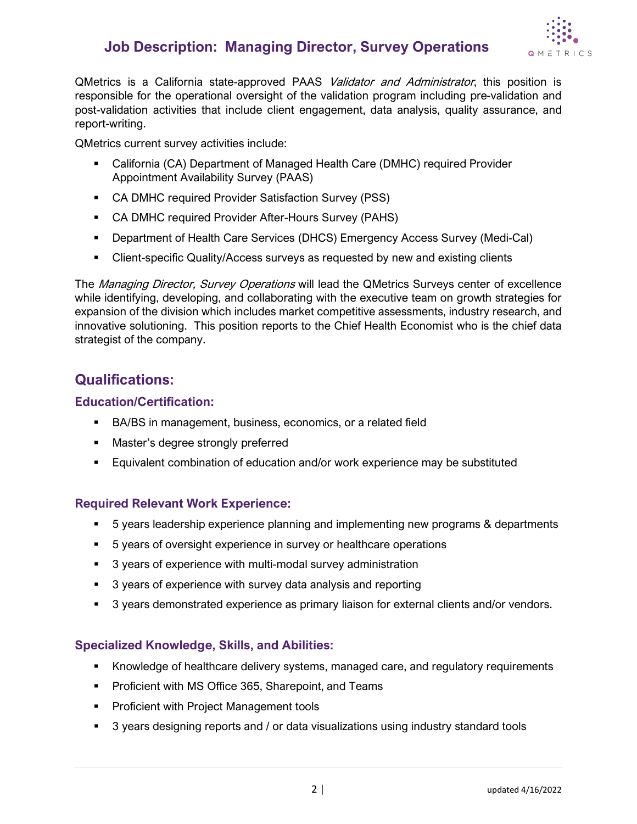## **Job Description: Managing Director, Survey Operations**



QMetrics is a California state-approved PAAS *Validator and Administrator*, this position is responsible for the operational oversight of the validation program including pre-validation and post-validation activities that include client engagement, data analysis, quality assurance, and report-writing.

QMetrics current survey activities include:

- California (CA) Department of Managed Health Care (DMHC) required Provider Appointment Availability Survey (PAAS)
- CA DMHC required Provider Satisfaction Survey (PSS)
- CA DMHC required Provider After-Hours Survey (PAHS)
- Department of Health Care Services (DHCS) Emergency Access Survey (Medi-Cal)
- Client-specific Quality/Access surveys as requested by new and existing clients

The Managing Director, Survey Operations will lead the QMetrics Surveys center of excellence while identifying, developing, and collaborating with the executive team on growth strategies for expansion of the division which includes market competitive assessments, industry research, and innovative solutioning. This position reports to the Chief Health Economist who is the chief data strategist of the company.

### **Qualifications:**

#### **Education/Certification:**

- BA/BS in management, business, economics, or a related field
- **Master's degree strongly preferred**
- **Equivalent combination of education and/or work experience may be substituted**

#### **Required Relevant Work Experience:**

- 5 years leadership experience planning and implementing new programs & departments
- 5 years of oversight experience in survey or healthcare operations
- 3 years of experience with multi-modal survey administration
- 3 years of experience with survey data analysis and reporting
- **5** 3 years demonstrated experience as primary liaison for external clients and/or vendors.

#### **Specialized Knowledge, Skills, and Abilities:**

- Knowledge of healthcare delivery systems, managed care, and regulatory requirements
- **Proficient with MS Office 365, Sharepoint, and Teams**
- **Proficient with Project Management tools**
- <sup>3</sup> 3 years designing reports and / or data visualizations using industry standard tools